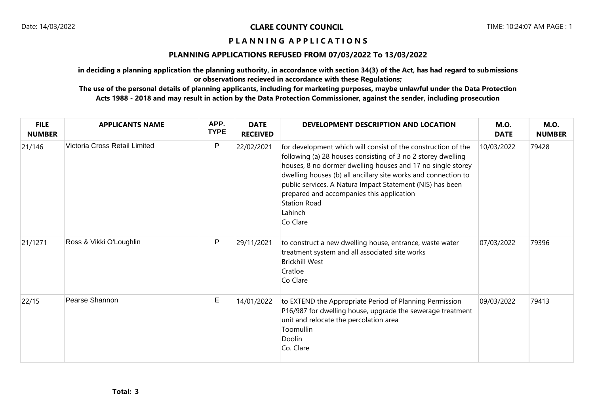### **P L A N N I N G A P P L I C A T I O N S**

## **PLANNING APPLICATIONS REFUSED FROM 07/03/2022 To 13/03/2022**

**in deciding a planning application the planning authority, in accordance with section 34(3) of the Act, has had regard to submissions or observations recieved in accordance with these Regulations;**

**The use of the personal details of planning applicants, including for marketing purposes, maybe unlawful under the Data Protection Acts 1988 - 2018 and may result in action by the Data Protection Commissioner, against the sender, including prosecution**

| <b>FILE</b><br><b>NUMBER</b> | <b>APPLICANTS NAME</b>        | APP.<br><b>TYPE</b> | <b>DATE</b><br><b>RECEIVED</b> | DEVELOPMENT DESCRIPTION AND LOCATION                                                                                                                                                                                                                                                                                                                                                                                   | <b>M.O.</b><br><b>DATE</b> | <b>M.O.</b><br><b>NUMBER</b> |
|------------------------------|-------------------------------|---------------------|--------------------------------|------------------------------------------------------------------------------------------------------------------------------------------------------------------------------------------------------------------------------------------------------------------------------------------------------------------------------------------------------------------------------------------------------------------------|----------------------------|------------------------------|
| 21/146                       | Victoria Cross Retail Limited | P                   | 22/02/2021                     | for development which will consist of the construction of the<br>following (a) 28 houses consisting of 3 no 2 storey dwelling<br>houses, 8 no dormer dwelling houses and 17 no single storey<br>dwelling houses (b) all ancillary site works and connection to<br>public services. A Natura Impact Statement (NIS) has been<br>prepared and accompanies this application<br><b>Station Road</b><br>Lahinch<br>Co Clare | 10/03/2022                 | 79428                        |
| 21/1271                      | Ross & Vikki O'Loughlin       | P                   | 29/11/2021                     | to construct a new dwelling house, entrance, waste water<br>treatment system and all associated site works<br><b>Brickhill West</b><br>Cratloe<br>Co Clare                                                                                                                                                                                                                                                             | 07/03/2022                 | 79396                        |
| 22/15                        | Pearse Shannon                | Е                   | 14/01/2022                     | to EXTEND the Appropriate Period of Planning Permission<br>P16/987 for dwelling house, upgrade the sewerage treatment<br>unit and relocate the percolation area<br>Toomullin<br>Doolin<br>Co. Clare                                                                                                                                                                                                                    | 09/03/2022                 | 79413                        |